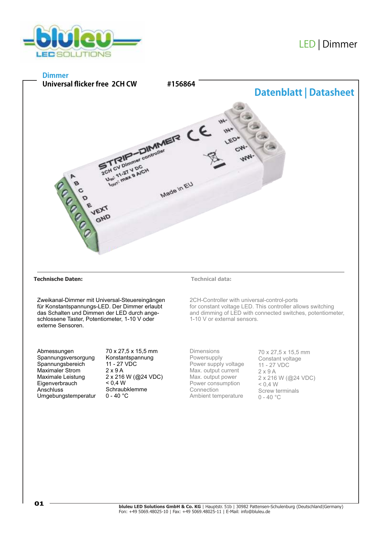

# LED |Dimmer

### **Dimmer**



#### **Technische Daten: Technical data:**

Zweikanal-Dimmer mit Universal-Steuereingängen für Konstantspannungs-LED. Der Dimmer erlaubt das Schalten und Dimmen der LED durch angeschlossene Taster, Potentiometer, 1-10 V oder externe Sensoren.

Abmessungen Spannungsversorgung Spannungsbereich Maximaler Strom Maximale Leistung **Eigenverbrauch Anschluss** Umgebungstemperatur 70 x 27,5 x 15,5 mm Konstantspannung 11 - 27 VDC 2 x 9 A 2 x 216 W (@24 VDC)  $< 0.4 W$ Schraubklemme  $0 - 40 °C$ 

2CH-Controller with universal-control-ports for constant voltage LED. This controller allows switching and dimming of LED with connected switches, potentiometer, 1-10 V or external sensors.

Dimensions **Powersupply** Power supply voltage Max. output current Max. output power Power consumption Connection Ambient temperature

70 x 27,5 x 15,5 mm Constant voltage 11 - 27 VDC 2 x 9 A 2 x 216 W (@24 VDC)  $< 0.4 W$ Screw terminals  $0 - 40$  °C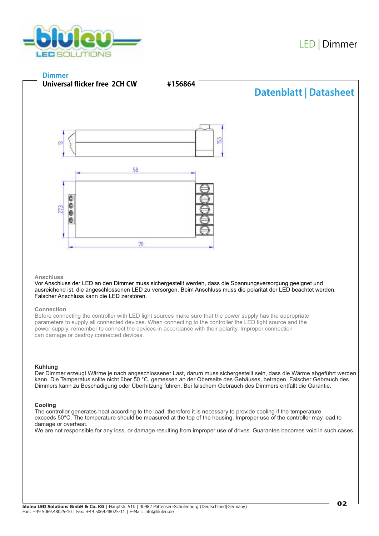

## **Dimmer**



#### **Anschluss**

Vor Anschluss der LED an den Dimmer muss sichergestellt werden, dass die Spannungsversorgung geeignet und ausreichend ist, die angeschlossenen LED zu versorgen. Beim Anschluss muss die polarität der LED beachtet werden. Falscher Anschluss kann die LED zerstören.

#### **Connection**

Before connecting the controller with LED light sources make sure that the power supply has the appropriate parameters to supply all connected devices. When connecting to the controller the LED light source and the power supply, remember to connect the devices in accordance with their polarity. Improper connection can damage or destroy connected devices.

#### **Kühlung**

Der Dimmer erzeugt Wärme je nach angeschlossener Last, darum muss sichergestellt sein, dass die Wärme abgeführt werden kann. Die Temperatus sollte nicht über 50 °C, gemessen an der Oberseite des Gehäuses, betragen. Falscher Gebrauch des Dimmers kann zu Beschädigung oder Überhitzung führen. Bei falschem Gebrauch des Dimmers entfällt die Garantie.

#### **Cooling**

The controller generates heat according to the load, therefore it is necessary to provide cooling if the temperature exceeds 50°C. The temperature should be measured at the top of the housing. Improper use of the controller may lead to damage or overheat.

We are not responsible for any loss, or damage resulting from improper use of drives. Guarantee becomes void in such cases.